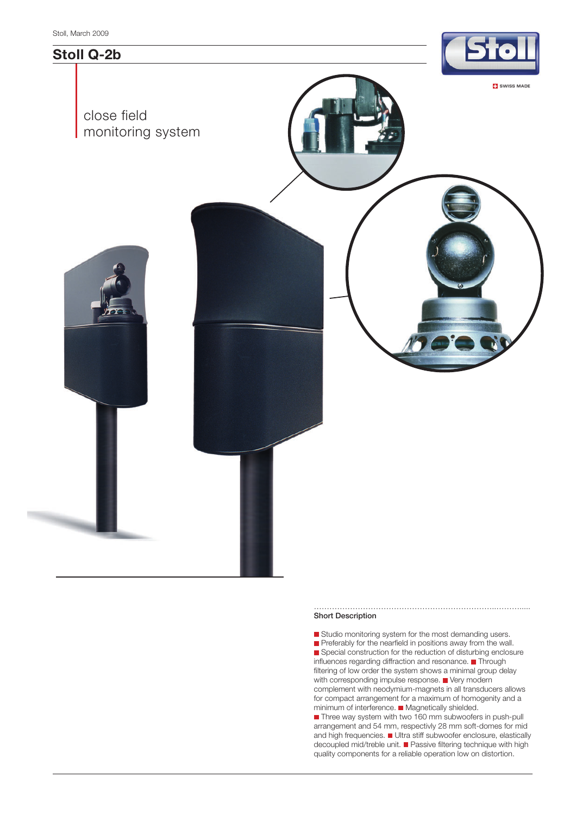

## **Short Description**

Studio monitoring system for the most demanding users. Preferably for the nearfield in positions away from the wall. Special construction for the reduction of disturbing enclosure influences regarding diffraction and resonance. Through filtering of low order the system shows a minimal group delay with corresponding impulse response.  $\blacksquare$  Very modern complement with neodymium-magnets in all transducers allows for compact arrangement for a maximum of homogenity and a minimum of interference. Magnetically shielded. ■ Three way system with two 160 mm subwoofers in push-pull arrangement and 54 mm, respectivly 28 mm soft-domes for mid and high frequencies. Ultra stiff subwoofer enclosure, elastically decoupled mid/treble unit. ■ Passive filtering technique with high quality components for a reliable operation low on distortion.

……………………………………………………………..……….....